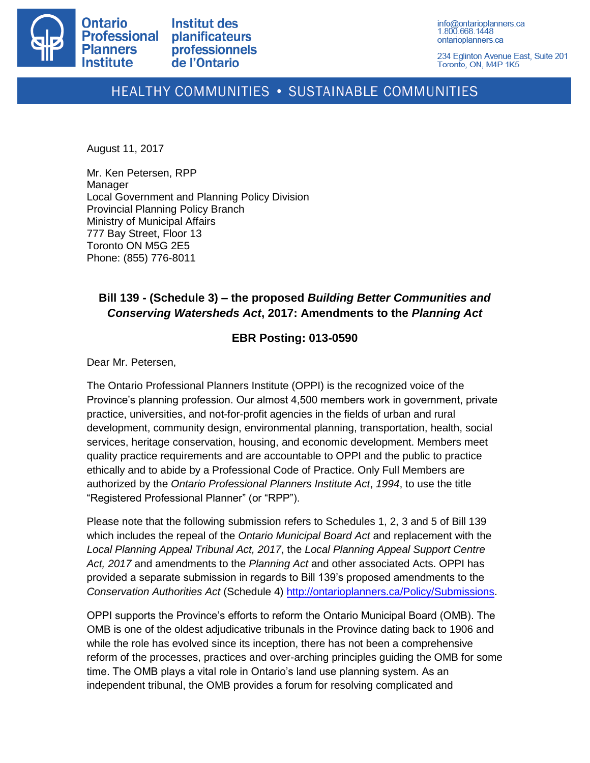

info@ontarioplanners.ca 1.800.668.1448 ontarioplanners.ca

234 Eglinton Avenue East, Suite 201 Toronto, ON, M4P 1K5

## HEALTHY COMMUNITIES . SUSTAINABLE COMMUNITIES

August 11, 2017

Mr. Ken Petersen, RPP Manager Local Government and Planning Policy Division Provincial Planning Policy Branch Ministry of Municipal Affairs 777 Bay Street, Floor 13 Toronto ON M5G 2E5 Phone: (855) 776-8011

## **Bill 139 - (Schedule 3) – the proposed** *Building Better Communities and Conserving Watersheds Act***, 2017: Amendments to the** *Planning Act*

## **EBR Posting: 013-0590**

Dear Mr. Petersen,

The Ontario Professional Planners Institute (OPPI) is the recognized voice of the Province's planning profession. Our almost 4,500 members work in government, private practice, universities, and not-for-profit agencies in the fields of urban and rural development, community design, environmental planning, transportation, health, social services, heritage conservation, housing, and economic development. Members meet quality practice requirements and are accountable to OPPI and the public to practice ethically and to abide by a Professional Code of Practice. Only Full Members are authorized by the *Ontario Professional Planners Institute Act*, *1994*, to use the title "Registered Professional Planner" (or "RPP").

Please note that the following submission refers to Schedules 1, 2, 3 and 5 of Bill 139 which includes the repeal of the *Ontario Municipal Board Act* and replacement with the *Local Planning Appeal Tribunal Act, 2017*, the *Local Planning Appeal Support Centre Act, 2017* and amendments to the *Planning Act* and other associated Acts. OPPI has provided a separate submission in regards to Bill 139's proposed amendments to the *Conservation Authorities Act* (Schedule 4) [http://ontarioplanners.ca/Policy/Submissions.](http://ontarioplanners.ca/Policy/Submissions)

OPPI supports the Province's efforts to reform the Ontario Municipal Board (OMB). The OMB is one of the oldest adjudicative tribunals in the Province dating back to 1906 and while the role has evolved since its inception, there has not been a comprehensive reform of the processes, practices and over-arching principles guiding the OMB for some time. The OMB plays a vital role in Ontario's land use planning system. As an independent tribunal, the OMB provides a forum for resolving complicated and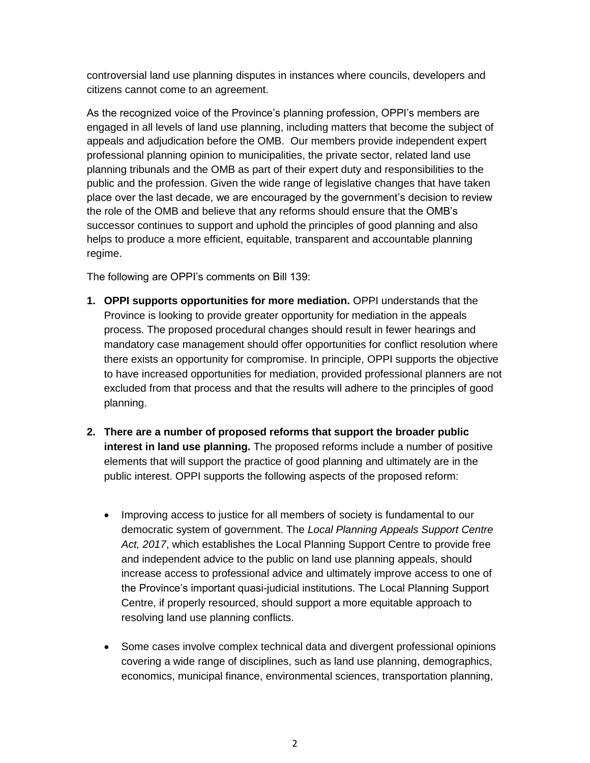controversial land use planning disputes in instances where councils, developers and citizens cannot come to an agreement.

As the recognized voice of the Province's planning profession, OPPI's members are engaged in all levels of land use planning, including matters that become the subject of appeals and adjudication before the OMB. Our members provide independent expert professional planning opinion to municipalities, the private sector, related land use planning tribunals and the OMB as part of their expert duty and responsibilities to the public and the profession. Given the wide range of legislative changes that have taken place over the last decade, we are encouraged by the government's decision to review the role of the OMB and believe that any reforms should ensure that the OMB's successor continues to support and uphold the principles of good planning and also helps to produce a more efficient, equitable, transparent and accountable planning regime.

The following are OPPI's comments on Bill 139:

- **1. OPPI supports opportunities for more mediation.** OPPI understands that the Province is looking to provide greater opportunity for mediation in the appeals process. The proposed procedural changes should result in fewer hearings and mandatory case management should offer opportunities for conflict resolution where there exists an opportunity for compromise. In principle, OPPI supports the objective to have increased opportunities for mediation, provided professional planners are not excluded from that process and that the results will adhere to the principles of good planning.
- **2. There are a number of proposed reforms that support the broader public interest in land use planning.** The proposed reforms include a number of positive elements that will support the practice of good planning and ultimately are in the public interest. OPPI supports the following aspects of the proposed reform:
	- Improving access to justice for all members of society is fundamental to our democratic system of government. The *Local Planning Appeals Support Centre Act, 2017*, which establishes the Local Planning Support Centre to provide free and independent advice to the public on land use planning appeals, should increase access to professional advice and ultimately improve access to one of the Province's important quasi-judicial institutions. The Local Planning Support Centre, if properly resourced, should support a more equitable approach to resolving land use planning conflicts.
	- Some cases involve complex technical data and divergent professional opinions covering a wide range of disciplines, such as land use planning, demographics, economics, municipal finance, environmental sciences, transportation planning,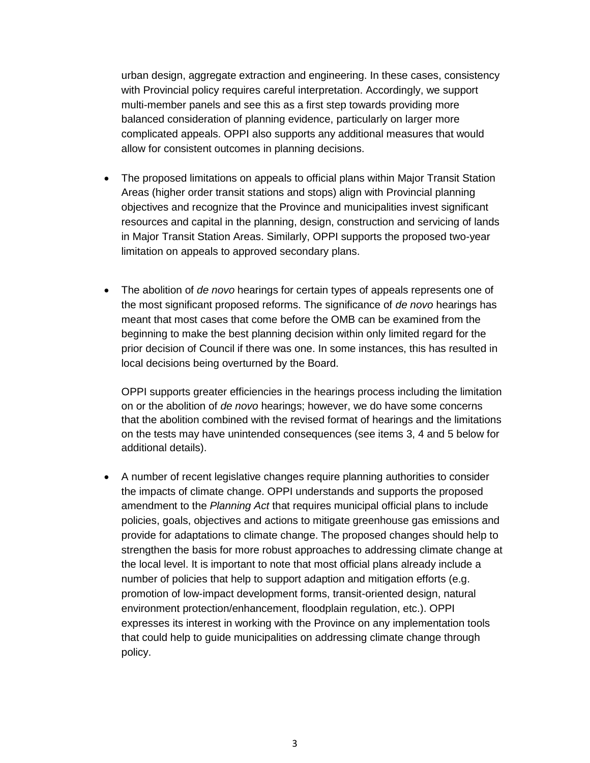urban design, aggregate extraction and engineering. In these cases, consistency with Provincial policy requires careful interpretation. Accordingly, we support multi-member panels and see this as a first step towards providing more balanced consideration of planning evidence, particularly on larger more complicated appeals. OPPI also supports any additional measures that would allow for consistent outcomes in planning decisions.

- The proposed limitations on appeals to official plans within Major Transit Station Areas (higher order transit stations and stops) align with Provincial planning objectives and recognize that the Province and municipalities invest significant resources and capital in the planning, design, construction and servicing of lands in Major Transit Station Areas. Similarly, OPPI supports the proposed two-year limitation on appeals to approved secondary plans.
- The abolition of *de novo* hearings for certain types of appeals represents one of the most significant proposed reforms. The significance of *de novo* hearings has meant that most cases that come before the OMB can be examined from the beginning to make the best planning decision within only limited regard for the prior decision of Council if there was one. In some instances, this has resulted in local decisions being overturned by the Board.

OPPI supports greater efficiencies in the hearings process including the limitation on or the abolition of *de novo* hearings; however, we do have some concerns that the abolition combined with the revised format of hearings and the limitations on the tests may have unintended consequences (see items 3, 4 and 5 below for additional details).

 A number of recent legislative changes require planning authorities to consider the impacts of climate change. OPPI understands and supports the proposed amendment to the *Planning Act* that requires municipal official plans to include policies, goals, objectives and actions to mitigate greenhouse gas emissions and provide for adaptations to climate change. The proposed changes should help to strengthen the basis for more robust approaches to addressing climate change at the local level. It is important to note that most official plans already include a number of policies that help to support adaption and mitigation efforts (e.g. promotion of low-impact development forms, transit-oriented design, natural environment protection/enhancement, floodplain regulation, etc.). OPPI expresses its interest in working with the Province on any implementation tools that could help to guide municipalities on addressing climate change through policy.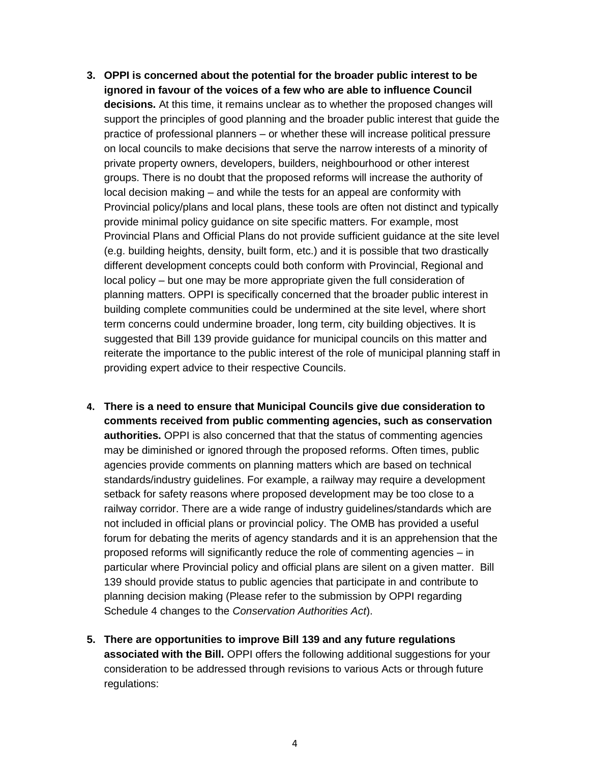- **3. OPPI is concerned about the potential for the broader public interest to be ignored in favour of the voices of a few who are able to influence Council decisions.** At this time, it remains unclear as to whether the proposed changes will support the principles of good planning and the broader public interest that guide the practice of professional planners – or whether these will increase political pressure on local councils to make decisions that serve the narrow interests of a minority of private property owners, developers, builders, neighbourhood or other interest groups. There is no doubt that the proposed reforms will increase the authority of local decision making – and while the tests for an appeal are conformity with Provincial policy/plans and local plans, these tools are often not distinct and typically provide minimal policy guidance on site specific matters. For example, most Provincial Plans and Official Plans do not provide sufficient guidance at the site level (e.g. building heights, density, built form, etc.) and it is possible that two drastically different development concepts could both conform with Provincial, Regional and local policy – but one may be more appropriate given the full consideration of planning matters. OPPI is specifically concerned that the broader public interest in building complete communities could be undermined at the site level, where short term concerns could undermine broader, long term, city building objectives. It is suggested that Bill 139 provide guidance for municipal councils on this matter and reiterate the importance to the public interest of the role of municipal planning staff in providing expert advice to their respective Councils.
- **4. There is a need to ensure that Municipal Councils give due consideration to comments received from public commenting agencies, such as conservation authorities.** OPPI is also concerned that that the status of commenting agencies may be diminished or ignored through the proposed reforms. Often times, public agencies provide comments on planning matters which are based on technical standards/industry guidelines. For example, a railway may require a development setback for safety reasons where proposed development may be too close to a railway corridor. There are a wide range of industry guidelines/standards which are not included in official plans or provincial policy. The OMB has provided a useful forum for debating the merits of agency standards and it is an apprehension that the proposed reforms will significantly reduce the role of commenting agencies – in particular where Provincial policy and official plans are silent on a given matter. Bill 139 should provide status to public agencies that participate in and contribute to planning decision making (Please refer to the submission by OPPI regarding Schedule 4 changes to the *Conservation Authorities Act*).
- **5. There are opportunities to improve Bill 139 and any future regulations associated with the Bill.** OPPI offers the following additional suggestions for your consideration to be addressed through revisions to various Acts or through future regulations: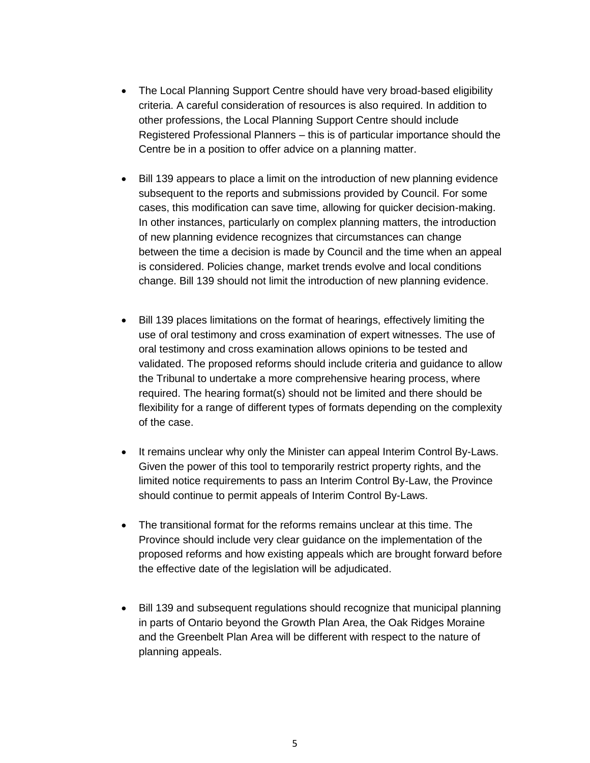- The Local Planning Support Centre should have very broad-based eligibility criteria. A careful consideration of resources is also required. In addition to other professions, the Local Planning Support Centre should include Registered Professional Planners – this is of particular importance should the Centre be in a position to offer advice on a planning matter.
- Bill 139 appears to place a limit on the introduction of new planning evidence subsequent to the reports and submissions provided by Council. For some cases, this modification can save time, allowing for quicker decision-making. In other instances, particularly on complex planning matters, the introduction of new planning evidence recognizes that circumstances can change between the time a decision is made by Council and the time when an appeal is considered. Policies change, market trends evolve and local conditions change. Bill 139 should not limit the introduction of new planning evidence.
- Bill 139 places limitations on the format of hearings, effectively limiting the use of oral testimony and cross examination of expert witnesses. The use of oral testimony and cross examination allows opinions to be tested and validated. The proposed reforms should include criteria and guidance to allow the Tribunal to undertake a more comprehensive hearing process, where required. The hearing format(s) should not be limited and there should be flexibility for a range of different types of formats depending on the complexity of the case.
- It remains unclear why only the Minister can appeal Interim Control By-Laws. Given the power of this tool to temporarily restrict property rights, and the limited notice requirements to pass an Interim Control By-Law, the Province should continue to permit appeals of Interim Control By-Laws.
- The transitional format for the reforms remains unclear at this time. The Province should include very clear guidance on the implementation of the proposed reforms and how existing appeals which are brought forward before the effective date of the legislation will be adjudicated.
- Bill 139 and subsequent regulations should recognize that municipal planning in parts of Ontario beyond the Growth Plan Area, the Oak Ridges Moraine and the Greenbelt Plan Area will be different with respect to the nature of planning appeals.